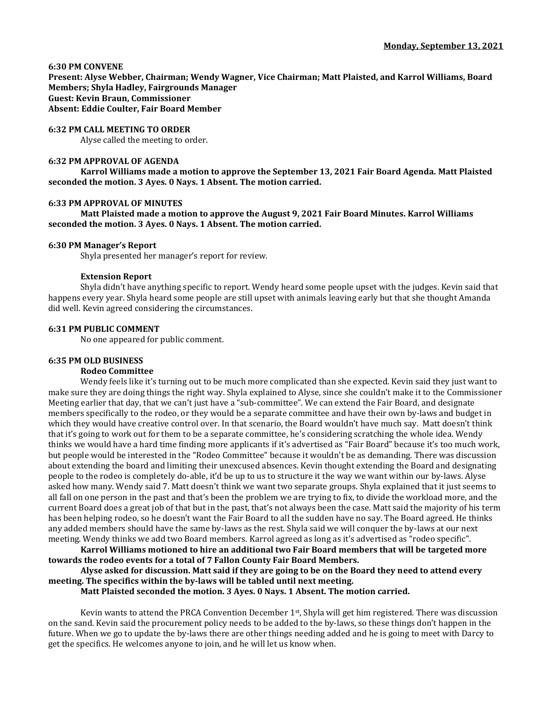### **6:30 PM CONVENE**

**Present: Alyse Webber, Chairman; Wendy Wagner, Vice Chairman; Matt Plaisted, and Karrol Williams, Board Members; Shyla Hadley, Fairgrounds Manager Guest: Kevin Braun, Commissioner Absent: Eddie Coulter, Fair Board Member**

### **6:32 PM CALL MEETING TO ORDER**

Alyse called the meeting to order.

## **6:32 PM APPROVAL OF AGENDA**

**Karrol Williams made a motion to approve the September 13, 2021 Fair Board Agenda. Matt Plaisted seconded the motion. 3 Ayes. 0 Nays. 1 Absent. The motion carried.**

## **6:33 PM APPROVAL OF MINUTES**

**Matt Plaisted made a motion to approve the August 9, 2021 Fair Board Minutes. Karrol Williams seconded the motion. 3 Ayes. 0 Nays. 1 Absent. The motion carried.**

### **6:30 PM Manager's Report**

Shyla presented her manager's report for review.

## **Extension Report**

Shyla didn't have anything specific to report. Wendy heard some people upset with the judges. Kevin said that happens every year. Shyla heard some people are still upset with animals leaving early but that she thought Amanda did well. Kevin agreed considering the circumstances.

## **6:31 PM PUBLIC COMMENT**

No one appeared for public comment.

### **6:35 PM OLD BUSINESS**

### **Rodeo Committee**

Wendy feels like it's turning out to be much more complicated than she expected. Kevin said they just want to make sure they are doing things the right way. Shyla explained to Alyse, since she couldn't make it to the Commissioner Meeting earlier that day, that we can't just have a "sub-committee". We can extend the Fair Board, and designate members specifically to the rodeo, or they would be a separate committee and have their own by-laws and budget in which they would have creative control over. In that scenario, the Board wouldn't have much say. Matt doesn't think that it's going to work out for them to be a separate committee, he's considering scratching the whole idea. Wendy thinks we would have a hard time finding more applicants if it's advertised as "Fair Board" because it's too much work, but people would be interested in the "Rodeo Committee" because it wouldn't be as demanding. There was discussion about extending the board and limiting their unexcused absences. Kevin thought extending the Board and designating people to the rodeo is completely do-able, it'd be up to us to structure it the way we want within our by-laws. Alyse asked how many. Wendy said 7. Matt doesn't think we want two separate groups. Shyla explained that it just seems to all fall on one person in the past and that's been the problem we are trying to fix, to divide the workload more, and the current Board does a great job of that but in the past, that's not always been the case. Matt said the majority of his term has been helping rodeo, so he doesn't want the Fair Board to all the sudden have no say. The Board agreed. He thinks any added members should have the same by-laws as the rest. Shyla said we will conquer the by-laws at our next meeting. Wendy thinks we add two Board members. Karrol agreed as long as it's advertised as "rodeo specific".

**Karrol Williams motioned to hire an additional two Fair Board members that will be targeted more towards the rodeo events for a total of 7 Fallon County Fair Board Members.** 

**Alyse asked for discussion. Matt said if they are going to be on the Board they need to attend every meeting. The specifics within the by-laws will be tabled until next meeting.** 

**Matt Plaisted seconded the motion. 3 Ayes. 0 Nays. 1 Absent. The motion carried.**

Kevin wants to attend the PRCA Convention December 1<sup>st</sup>, Shyla will get him registered. There was discussion on the sand. Kevin said the procurement policy needs to be added to the by-laws, so these things don't happen in the future. When we go to update the by-laws there are other things needing added and he is going to meet with Darcy to get the specifics. He welcomes anyone to join, and he will let us know when.